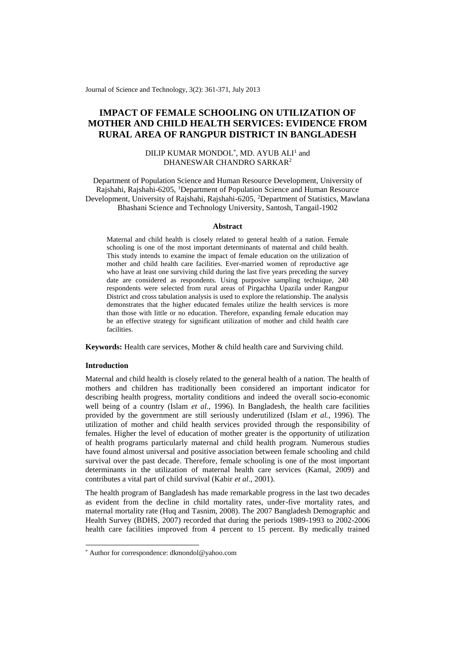Journal of Science and Technology, 3(2): 361-371, July 2013

# **IMPACT OF FEMALE SCHOOLING ON UTILIZATION OF MOTHER AND CHILD HEALTH SERVICES: EVIDENCE FROM RURAL AREA OF RANGPUR DISTRICT IN BANGLADESH**

### DILIP KUMAR MONDOL<sup>\*</sup>, MD. AYUB ALI<sup>1</sup> and DHANESWAR CHANDRO SARKAR<sup>2</sup>

Department of Population Science and Human Resource Development, University of Rajshahi, Rajshahi-6205, <sup>1</sup>Department of Population Science and Human Resource Development, University of Rajshahi, Rajshahi-6205, <sup>2</sup>Department of Statistics, Mawlana Bhashani Science and Technology University, Santosh, Tangail-1902

#### **Abstract**

Maternal and child health is closely related to general health of a nation. Female schooling is one of the most important determinants of maternal and child health. This study intends to examine the impact of female education on the utilization of mother and child health care facilities. Ever-married women of reproductive age who have at least one surviving child during the last five years preceding the survey date are considered as respondents. Using purposive sampling technique, 240 respondents were selected from rural areas of Pirgachha Upazila under Rangpur District and cross tabulation analysis is used to explore the relationship. The analysis demonstrates that the higher educated females utilize the health services is more than those with little or no education. Therefore, expanding female education may be an effective strategy for significant utilization of mother and child health care facilities.

**Keywords:** Health care services, Mother & child health care and Surviving child.

#### **Introduction**

1

Maternal and child health is closely related to the general health of a nation. The health of mothers and children has traditionally been considered an important indicator for describing health progress, mortality conditions and indeed the overall socio-economic well being of a country (Islam *et al*., 1996). In Bangladesh, the health care facilities provided by the government are still seriously underutilized (Islam *et al.*, 1996). The utilization of mother and child health services provided through the responsibility of females. Higher the level of education of mother greater is the opportunity of utilization of health programs particularly maternal and child health program. Numerous studies have found almost universal and positive association between female schooling and child survival over the past decade. Therefore, female schooling is one of the most important determinants in the utilization of maternal health care services (Kamal, 2009) and contributes a vital part of child survival (Kabir *et al*., 2001).

The health program of Bangladesh has made remarkable progress in the last two decades as evident from the decline in child mortality rates, under-five mortality rates, and maternal mortality rate (Huq and Tasnim, 2008). The 2007 Bangladesh Demographic and Health Survey (BDHS, 2007) recorded that during the periods 1989-1993 to 2002-2006 health care facilities improved from 4 percent to 15 percent. By medically trained

<sup>\*</sup> Author for correspondence: dkmondol@yahoo.com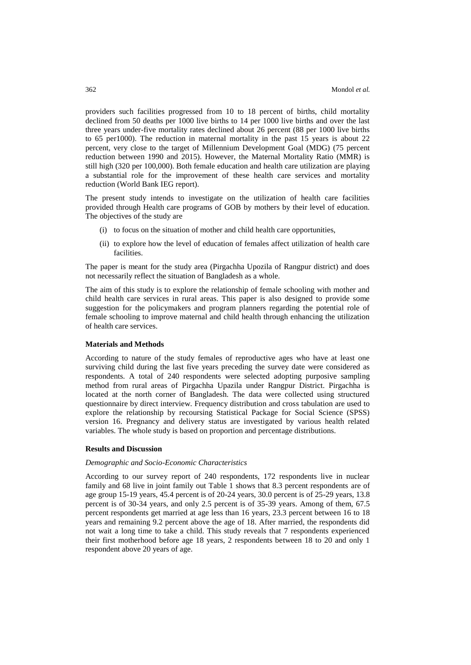providers such facilities progressed from 10 to 18 percent of births, child mortality declined from 50 deaths per 1000 live births to 14 per 1000 live births and over the last three years under-five mortality rates declined about 26 percent (88 per 1000 live births to 65 per1000). The reduction in maternal mortality in the past 15 years is about 22 percent, very close to the target of Millennium Development Goal (MDG) (75 percent reduction between 1990 and 2015). However, the Maternal Mortality Ratio (MMR) is still high (320 per 100,000). Both female education and health care utilization are playing a substantial role for the improvement of these health care services and mortality reduction (World Bank IEG report).

The present study intends to investigate on the utilization of health care facilities provided through Health care programs of GOB by mothers by their level of education. The objectives of the study are

- (i) to focus on the situation of mother and child health care opportunities,
- (ii) to explore how the level of education of females affect utilization of health care facilities.

The paper is meant for the study area (Pirgachha Upozila of Rangpur district) and does not necessarily reflect the situation of Bangladesh as a whole.

The aim of this study is to explore the relationship of female schooling with mother and child health care services in rural areas. This paper is also designed to provide some suggestion for the policymakers and program planners regarding the potential role of female schooling to improve maternal and child health through enhancing the utilization of health care services.

### **Materials and Methods**

According to nature of the study females of reproductive ages who have at least one surviving child during the last five years preceding the survey date were considered as respondents. A total of 240 respondents were selected adopting purposive sampling method from rural areas of Pirgachha Upazila under Rangpur District. Pirgachha is located at the north corner of Bangladesh. The data were collected using structured questionnaire by direct interview. Frequency distribution and cross tabulation are used to explore the relationship by recoursing Statistical Package for Social Science (SPSS) version 16. Pregnancy and delivery status are investigated by various health related variables. The whole study is based on proportion and percentage distributions.

#### **Results and Discussion**

#### *Demographic and Socio-Economic Characteristics*

According to our survey report of 240 respondents, 172 respondents live in nuclear family and 68 live in joint family out Table 1 shows that 8.3 percent respondents are of age group 15-19 years, 45.4 percent is of 20-24 years, 30.0 percent is of 25-29 years, 13.8 percent is of 30-34 years, and only 2.5 percent is of 35-39 years. Among of them, 67.5 percent respondents get married at age less than 16 years, 23.3 percent between 16 to 18 years and remaining 9.2 percent above the age of 18. After married, the respondents did not wait a long time to take a child. This study reveals that 7 respondents experienced their first motherhood before age 18 years, 2 respondents between 18 to 20 and only 1 respondent above 20 years of age.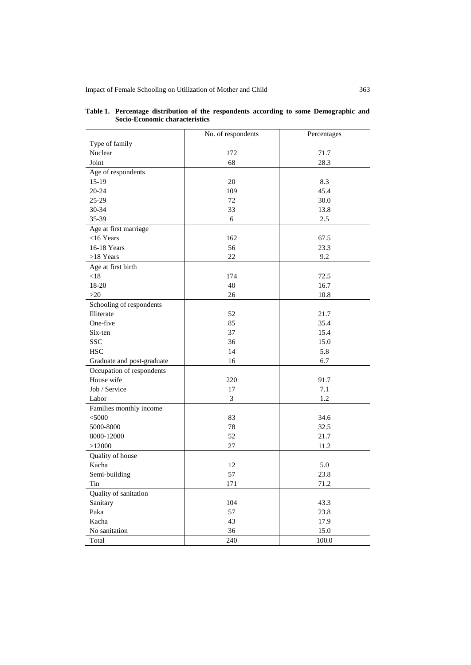Impact of Female Schooling on Utilization of Mother and Child 363

|                            | No. of respondents | Percentages |
|----------------------------|--------------------|-------------|
| Type of family             |                    |             |
| Nuclear                    | 172                | 71.7        |
| Joint                      | 68                 | 28.3        |
| Age of respondents         |                    |             |
| $15-19$                    | 20                 | 8.3         |
| 20-24                      | 109                | 45.4        |
| 25-29                      | 72                 | 30.0        |
| 30-34                      | 33                 | 13.8        |
| 35-39                      | 6                  | 2.5         |
| Age at first marriage      |                    |             |
| $<$ 16 Years               | 162                | 67.5        |
| 16-18 Years                | 56                 | 23.3        |
| $>18$ Years                | 22                 | 9.2         |
| Age at first birth         |                    |             |
| < 18                       | 174                | 72.5        |
| 18-20                      | 40                 | 16.7        |
| $>20$                      | 26                 | 10.8        |
| Schooling of respondents   |                    |             |
| Illiterate                 | 52                 | 21.7        |
| One-five                   | 85                 | 35.4        |
| Six-ten                    | 37                 | 15.4        |
| <b>SSC</b>                 | 36                 | 15.0        |
| <b>HSC</b>                 | 14                 | 5.8         |
| Graduate and post-graduate | 16                 | 6.7         |
| Occupation of respondents  |                    |             |
| House wife                 | 220                | 91.7        |
| Job / Service              | 17                 | 7.1         |
| Labor                      | 3                  | 1.2         |
| Families monthly income    |                    |             |
| $<$ 5000                   | 83                 | 34.6        |
| 5000-8000                  | 78                 | 32.5        |
| 8000-12000                 | 52                 | 21.7        |
| >12000                     | $27\,$             | 11.2        |
| Quality of house           |                    |             |
| Kacha                      | 12                 | 5.0         |
| Semi-building              | 57                 | 23.8        |
| Tin                        | 171                | 71.2        |
| Quality of sanitation      |                    |             |
| Sanitary                   | 104                | 43.3        |
| Paka                       | 57                 | 23.8        |
| Kacha                      | 43                 | 17.9        |
| No sanitation              | 36                 | 15.0        |
| Total                      | 240                | 100.0       |
|                            |                    |             |

#### **Table 1. Percentage distribution of the respondents according to some Demographic and Socio-Economic characteristics**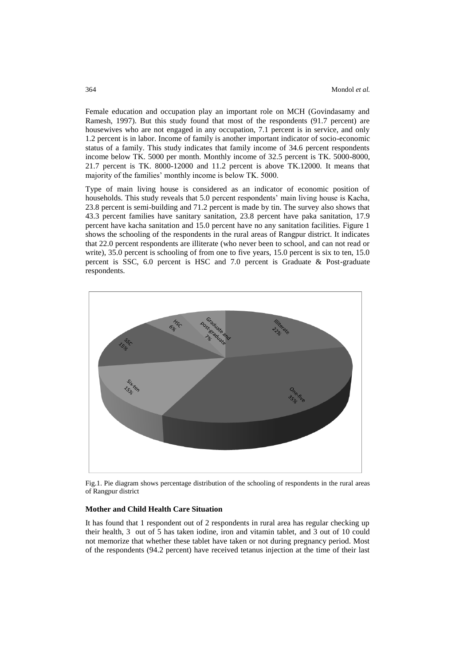Female education and occupation play an important role on MCH (Govindasamy and Ramesh, 1997). But this study found that most of the respondents (91.7 percent) are housewives who are not engaged in any occupation, 7.1 percent is in service, and only 1.2 percent is in labor. Income of family is another important indicator of socio-economic status of a family. This study indicates that family income of 34.6 percent respondents income below TK. 5000 per month. Monthly income of 32.5 percent is TK. 5000-8000, 21.7 percent is TK. 8000-12000 and 11.2 percent is above TK.12000. It means that majority of the families' monthly income is below TK. 5000.

Type of main living house is considered as an indicator of economic position of households. This study reveals that 5.0 percent respondents' main living house is Kacha, 23.8 percent is semi-building and 71.2 percent is made by tin. The survey also shows that 43.3 percent families have sanitary sanitation, 23.8 percent have paka sanitation, 17.9 percent have kacha sanitation and 15.0 percent have no any sanitation facilities. Figure 1 shows the schooling of the respondents in the rural areas of Rangpur district. It indicates that 22.0 percent respondents are illiterate (who never been to school, and can not read or write), 35.0 percent is schooling of from one to five years, 15.0 percent is six to ten, 15.0 percent is SSC, 6.0 percent is HSC and 7.0 percent is Graduate & Post-graduate respondents.



Fig.1. Pie diagram shows percentage distribution of the schooling of respondents in the rural areas of Rangpur district

### **Mother and Child Health Care Situation**

It has found that 1 respondent out of 2 respondents in rural area has regular checking up their health, 3 out of 5 has taken iodine, iron and vitamin tablet, and 3 out of 10 could not memorize that whether these tablet have taken or not during pregnancy period. Most of the respondents (94.2 percent) have received tetanus injection at the time of their last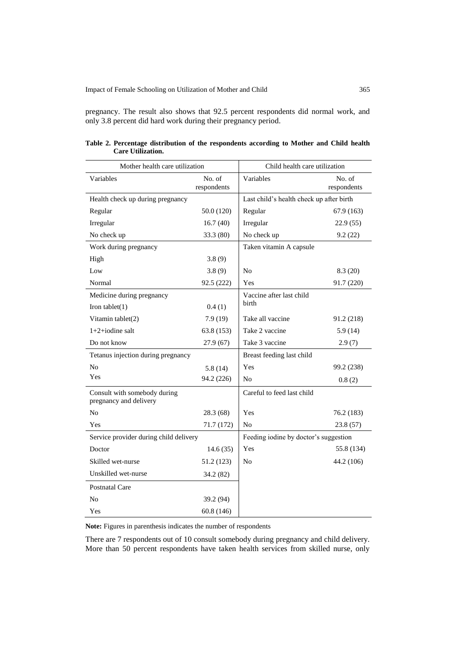pregnancy. The result also shows that 92.5 percent respondents did normal work, and only 3.8 percent did hard work during their pregnancy period.

| Mother health care utilization                         | Child health care utilization |                                          |                       |  |  |
|--------------------------------------------------------|-------------------------------|------------------------------------------|-----------------------|--|--|
| Variables                                              | No. of<br>respondents         | Variables                                | No. of<br>respondents |  |  |
| Health check up during pregnancy                       |                               | Last child's health check up after birth |                       |  |  |
| Regular                                                | 50.0 (120)                    | Regular                                  | 67.9(163)             |  |  |
| Irregular                                              | 16.7(40)                      | Irregular                                | 22.9(55)              |  |  |
| No check up                                            | 33.3 (80)                     | No check up                              | 9.2(22)               |  |  |
| Work during pregnancy                                  |                               | Taken vitamin A capsule                  |                       |  |  |
| High                                                   | 3.8(9)                        |                                          |                       |  |  |
| Low                                                    | 3.8(9)                        | N <sub>0</sub>                           | 8.3(20)               |  |  |
| Normal                                                 | 92.5 (222)                    | Yes                                      | 91.7 (220)            |  |  |
| Medicine during pregnancy                              |                               | Vaccine after last child                 |                       |  |  |
| Iron tablet $(1)$                                      | 0.4(1)                        | <b>birth</b>                             |                       |  |  |
| Vitamin tablet(2)                                      | 7.9(19)                       | Take all vaccine                         | 91.2 (218)            |  |  |
| $1+2+iodine$ salt                                      | 63.8 (153)                    | Take 2 vaccine                           | 5.9(14)               |  |  |
| Do not know                                            | 27.9(67)                      | Take 3 vaccine                           | 2.9(7)                |  |  |
| Tetanus injection during pregnancy                     |                               | Breast feeding last child                |                       |  |  |
| No                                                     | 5.8(14)                       | Yes                                      | 99.2 (238)            |  |  |
| Yes                                                    | 94.2 (226)                    | N <sub>0</sub>                           | 0.8(2)                |  |  |
| Consult with somebody during<br>pregnancy and delivery |                               | Careful to feed last child               |                       |  |  |
| N <sub>0</sub>                                         | 28.3 (68)                     | Yes                                      | 76.2 (183)            |  |  |
| Yes                                                    | 71.7 (172)                    | No                                       | 23.8(57)              |  |  |
| Service provider during child delivery                 |                               | Feeding iodine by doctor's suggestion    |                       |  |  |
| Doctor                                                 | 14.6(35)                      | Yes                                      | 55.8 (134)            |  |  |
| Skilled wet-nurse                                      | 51.2 (123)                    | No                                       | 44.2 (106)            |  |  |
| Unskilled wet-nurse                                    | 34.2 (82)                     |                                          |                       |  |  |
| <b>Postnatal Care</b>                                  |                               |                                          |                       |  |  |
| No                                                     | 39.2 (94)                     |                                          |                       |  |  |
| Yes                                                    | 60.8 (146)                    |                                          |                       |  |  |

|                          |  | Table 2. Percentage distribution of the respondents according to Mother and Child health |  |  |  |
|--------------------------|--|------------------------------------------------------------------------------------------|--|--|--|
| <b>Care Utilization.</b> |  |                                                                                          |  |  |  |

**Note:** Figures in parenthesis indicates the number of respondents

There are 7 respondents out of 10 consult somebody during pregnancy and child delivery. More than 50 percent respondents have taken health services from skilled nurse, only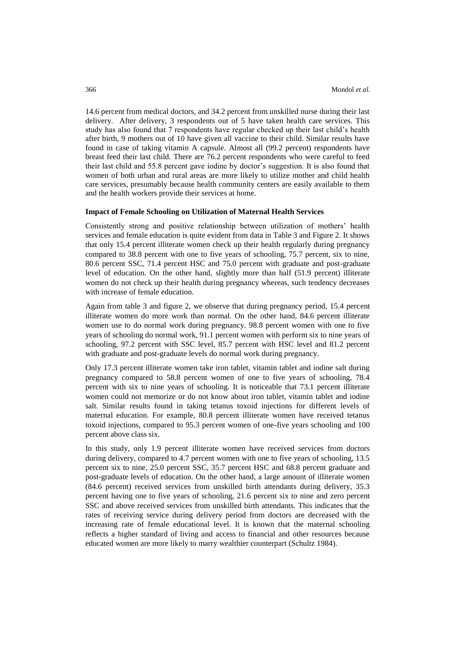14.6 percent from medical doctors, and 34.2 percent from unskilled nurse during their last delivery. After delivery, 3 respondents out of 5 have taken health care services. This study has also found that 7 respondents have regular checked up their last child's health after birth, 9 mothers out of 10 have given all vaccine to their child. Similar results have found in case of taking vitamin A capsule. Almost all (99.2 percent) respondents have breast feed their last child. There are 76.2 percent respondents who were careful to feed their last child and 55.8 percent gave iodine by doctor's suggestion. It is also found that women of both urban and rural areas are more likely to utilize mother and child health care services, presumably because health community centers are easily available to them and the health workers provide their services at home.

#### **Impact of Female Schooling on Utilization of Maternal Health Services**

Consistently strong and positive relationship between utilization of mothers' health services and female education is quite evident from data in Table 3 and Figure 2. It shows that only 15.4 percent illiterate women check up their health regularly during pregnancy compared to 38.8 percent with one to five years of schooling, 75.7 percent, six to nine, 80.6 percent SSC, 71.4 percent HSC and 75.0 percent with graduate and post-graduate level of education. On the other hand, slightly more than half (51.9 percent) illiterate women do not check up their health during pregnancy whereas, such tendency decreases with increase of female education.

Again from table 3 and figure 2, we observe that during pregnancy period, 15.4 percent illiterate women do more work than normal. On the other hand, 84.6 percent illiterate women use to do normal work during pregnancy. 98.8 percent women with one to five years of schooling do normal work, 91.1 percent women with perform six to nine years of schooling, 97.2 percent with SSC level, 85.7 percent with HSC level and 81.2 percent with graduate and post-graduate levels do normal work during pregnancy.

Only 17.3 percent illiterate women take iron tablet, vitamin tablet and iodine salt during pregnancy compared to 58.8 percent women of one to five years of schooling, 78.4 percent with six to nine years of schooling. It is noticeable that 73.1 percent illiterate women could not memorize or do not know about iron tablet, vitamin tablet and iodine salt. Similar results found in taking tetanus toxoid injections for different levels of maternal education. For example, 80.8 percent illiterate women have received tetanus toxoid injections, compared to 95.3 percent women of one-five years schooling and 100 percent above class six.

In this study, only 1.9 percent illiterate women have received services from doctors during delivery, compared to 4.7 percent women with one to five years of schooling, 13.5 percent six to nine, 25.0 percent SSC, 35.7 percent HSC and 68.8 percent graduate and post-graduate levels of education. On the other hand, a large amount of illiterate women (84.6 percent) received services from unskilled birth attendants during delivery, 35.3 percent having one to five years of schooling, 21.6 percent six to nine and zero percent SSC and above received services from unskilled birth attendants. This indicates that the rates of receiving service during delivery period from doctors are decreased with the increasing rate of female educational level. It is known that the maternal schooling reflects a higher standard of living and access to financial and other resources because educated women are more likely to marry wealthier counterpart (Schultz 1984).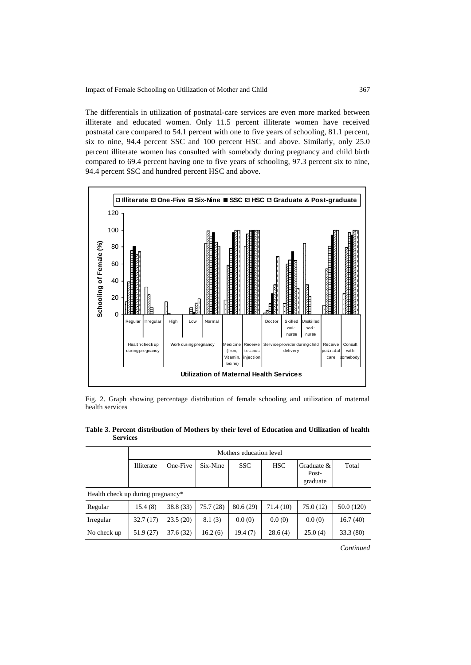The differentials in utilization of postnatal-care services are even more marked between illiterate and educated women. Only 11.5 percent illiterate women have received postnatal care compared to 54.1 percent with one to five years of schooling, 81.1 percent, six to nine, 94.4 percent SSC and 100 percent HSC and above. Similarly, only 25.0 percent illiterate women has consulted with somebody during pregnancy and child birth compared to 69.4 percent having one to five years of schooling, 97.3 percent six to nine, 94.4 percent SSC and hundred percent HSC and above.



Fig. 2. Graph showing percentage distribution of female schooling and utilization of maternal health services

|                                   | Mothers education level |           |          |            |            |                                   |            |  |  |
|-----------------------------------|-------------------------|-----------|----------|------------|------------|-----------------------------------|------------|--|--|
|                                   | <b>Illiterate</b>       | One-Five  | Six-Nine | <b>SSC</b> | <b>HSC</b> | Graduate $&$<br>Post-<br>graduate | Total      |  |  |
| Health check up during pregnancy* |                         |           |          |            |            |                                   |            |  |  |
| Regular                           | 15.4 (8)                | 38.8 (33) | 75.7(28) | 80.6(29)   | 71.4 (10)  | 75.0(12)                          | 50.0 (120) |  |  |
| Irregular                         | 32.7(17)                | 23.5(20)  | 8.1(3)   | 0.0(0)     | 0.0(0)     | 0.0(0)                            | 16.7(40)   |  |  |
| No check up                       | 51.9 (27)               | 37.6(32)  | 16.2(6)  | 19.4 (7)   | 28.6(4)    | 25.0(4)                           | 33.3(80)   |  |  |

**Table 3. Percent distribution of Mothers by their level of Education and Utilization of health Services**

ℸ

*Continued*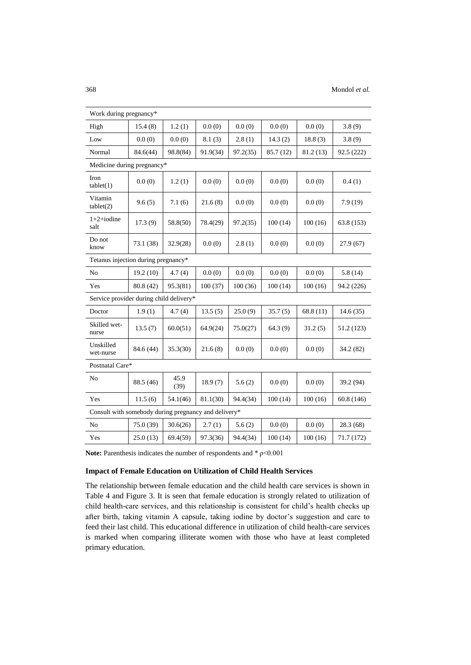| Work during pregnancy*                               |                            |              |          |          |           |           |            |  |  |  |  |
|------------------------------------------------------|----------------------------|--------------|----------|----------|-----------|-----------|------------|--|--|--|--|
| High                                                 | 15.4(8)                    | 1.2(1)       | 0.0(0)   | 0.0(0)   | 0.0(0)    | 0.0(0)    | 3.8(9)     |  |  |  |  |
| Low                                                  | 0.0(0)                     | 0.0(0)       | 8.1(3)   | 2.8(1)   | 14.3(2)   | 18.8(3)   | 3.8(9)     |  |  |  |  |
| Normal                                               | 84.6(44)                   | 98.8(84)     | 91.9(34) | 97.2(35) | 85.7 (12) | 81.2 (13) | 92.5 (222) |  |  |  |  |
|                                                      | Medicine during pregnancy* |              |          |          |           |           |            |  |  |  |  |
| Iron<br>tablet(1)                                    | 0.0(0)                     | 1.2(1)       | 0.0(0)   | 0.0(0)   | 0.0(0)    | 0.0(0)    | 0.4(1)     |  |  |  |  |
| Vitamin<br>tablet(2)                                 | 9.6(5)                     | 7.1(6)       | 21.6(8)  | 0.0(0)   | 0.0(0)    | 0.0(0)    | 7.9(19)    |  |  |  |  |
| $1+2+iodine$<br>salt                                 | 17.3(9)                    | 58.8(50)     | 78.4(29) | 97.2(35) | 100(14)   | 100(16)   | 63.8 (153) |  |  |  |  |
| Do not<br>know                                       | 73.1 (38)                  | 32.9(28)     | 0.0(0)   | 2.8(1)   | 0.0(0)    | 0.0(0)    | 27.9(67)   |  |  |  |  |
| Tetanus injection during pregnancy*                  |                            |              |          |          |           |           |            |  |  |  |  |
| N <sub>o</sub>                                       | 19.2(10)                   | 4.7(4)       | 0.0(0)   | 0.0(0)   | 0.0(0)    | 0.0(0)    | 5.8(14)    |  |  |  |  |
| Yes                                                  | 80.8 (42)                  | 95.3(81)     | 100(37)  | 100(36)  | 100(14)   | 100(16)   | 94.2 (226) |  |  |  |  |
| Service provider during child delivery*              |                            |              |          |          |           |           |            |  |  |  |  |
| Doctor                                               | 1.9(1)                     | 4.7(4)       | 13.5(5)  | 25.0(9)  | 35.7(5)   | 68.8 (11) | 14.6(35)   |  |  |  |  |
| Skilled wet-<br>nurse                                | 13.5(7)                    | 60.0(51)     | 64.9(24) | 75.0(27) | 64.3(9)   | 31.2(5)   | 51.2 (123) |  |  |  |  |
| Unskilled<br>wet-nurse                               | 84.6 (44)                  | 35.3(30)     | 21.6(8)  | 0.0(0)   | 0.0(0)    | 0.0(0)    | 34.2 (82)  |  |  |  |  |
| Postnatal Care*                                      |                            |              |          |          |           |           |            |  |  |  |  |
| No                                                   | 88.5 (46)                  | 45.9<br>(39) | 18.9(7)  | 5.6(2)   | 0.0(0)    | 0.0(0)    | 39.2 (94)  |  |  |  |  |
| Yes                                                  | 11.5(6)                    | 54.1(46)     | 81.1(30) | 94.4(34) | 100(14)   | 100(16)   | 60.8(146)  |  |  |  |  |
| Consult with somebody during pregnancy and delivery* |                            |              |          |          |           |           |            |  |  |  |  |
| N <sub>o</sub>                                       | 75.0 (39)                  | 30.6(26)     | 2.7(1)   | 5.6(2)   | 0.0(0)    | 0.0(0)    | 28.3 (68)  |  |  |  |  |
| Yes                                                  | 25.0(13)                   | 69.4(59)     | 97.3(36) | 94.4(34) | 100(14)   | 100(16)   | 71.7 (172) |  |  |  |  |

**Note:** Parenthesis indicates the number of respondents and  $*$   $p$ <0.001

## **Impact of Female Education on Utilization of Child Health Services**

The relationship between female education and the child health care services is shown in Table 4 and Figure 3. It is seen that female education is strongly related to utilization of child health-care services, and this relationship is consistent for child's health checks up after birth, taking vitamin A capsule, taking iodine by doctor's suggestion and care to feed their last child. This educational difference in utilization of child health-care services is marked when comparing illiterate women with those who have at least completed primary education.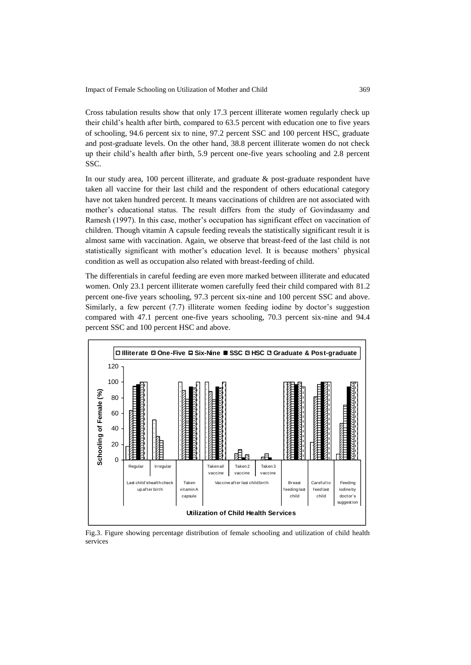Impact of Female Schooling on Utilization of Mother and Child 369

Cross tabulation results show that only 17.3 percent illiterate women regularly check up their child's health after birth, compared to 63.5 percent with education one to five years of schooling, 94.6 percent six to nine, 97.2 percent SSC and 100 percent HSC, graduate and post-graduate levels. On the other hand, 38.8 percent illiterate women do not check up their child's health after birth, 5.9 percent one-five years schooling and 2.8 percent SSC.

In our study area, 100 percent illiterate, and graduate & post-graduate respondent have taken all vaccine for their last child and the respondent of others educational category have not taken hundred percent. It means vaccinations of children are not associated with mother's educational status. The result differs from the study of Govindasamy and Ramesh (1997). In this case, mother's occupation has significant effect on vaccination of children. Though vitamin A capsule feeding reveals the statistically significant result it is almost same with vaccination. Again, we observe that breast-feed of the last child is not statistically significant with mother's education level. It is because mothers' physical condition as well as occupation also related with breast-feeding of child.

The differentials in careful feeding are even more marked between illiterate and educated women. Only 23.1 percent illiterate women carefully feed their child compared with 81.2 percent one-five years schooling, 97.3 percent six-nine and 100 percent SSC and above. Similarly, a few percent (7.7) illiterate women feeding iodine by doctor's suggestion compared with 47.1 percent one-five years schooling, 70.3 percent six-nine and 94.4 percent SSC and 100 percent HSC and above.



Fig.3. Figure showing percentage distribution of female schooling and utilization of child health services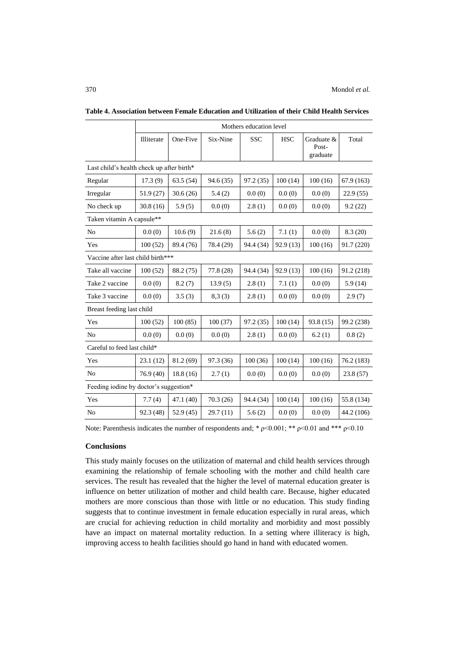#### 370 Mondol *et al.*

|                                           | Mothers education level |           |           |            |            |                                 |            |  |  |  |  |
|-------------------------------------------|-------------------------|-----------|-----------|------------|------------|---------------------------------|------------|--|--|--|--|
|                                           | Illiterate              | One-Five  | Six-Nine  | <b>SSC</b> | <b>HSC</b> | Graduate &<br>Post-<br>graduate | Total      |  |  |  |  |
| Last child's health check up after birth* |                         |           |           |            |            |                                 |            |  |  |  |  |
| Regular                                   | 17.3(9)                 | 63.5(54)  | 94.6 (35) | 97.2 (35)  | 100(14)    | 100(16)                         | 67.9 (163) |  |  |  |  |
| Irregular                                 | 51.9 (27)               | 30.6(26)  | 5.4(2)    | 0.0(0)     | 0.0(0)     | 0.0(0)                          | 22.9(55)   |  |  |  |  |
| No check up                               | 30.8(16)                | 5.9(5)    | 0.0(0)    | 2.8(1)     | 0.0(0)     | 0.0(0)                          | 9.2(22)    |  |  |  |  |
| Taken vitamin A capsule**                 |                         |           |           |            |            |                                 |            |  |  |  |  |
| N <sub>o</sub>                            | 0.0(0)                  | 10.6(9)   | 21.6(8)   | 5.6(2)     | 7.1(1)     | 0.0(0)                          | 8.3(20)    |  |  |  |  |
| Yes                                       | 100(52)                 | 89.4 (76) | 78.4 (29) | 94.4 (34)  | 92.9 (13)  | 100(16)                         | 91.7 (220) |  |  |  |  |
| Vaccine after last child birth***         |                         |           |           |            |            |                                 |            |  |  |  |  |
| Take all vaccine                          | 100(52)                 | 88.2 (75) | 77.8(28)  | 94.4 (34)  | 92.9(13)   | 100(16)                         | 91.2 (218) |  |  |  |  |
| Take 2 vaccine                            | 0.0(0)                  | 8.2(7)    | 13.9(5)   | 2.8(1)     | 7.1(1)     | 0.0(0)                          | 5.9(14)    |  |  |  |  |
| Take 3 vaccine                            | 0.0(0)                  | 3.5(3)    | 8,3(3)    | 2.8(1)     | 0.0(0)     | 0.0(0)                          | 2.9(7)     |  |  |  |  |
| Breast feeding last child                 |                         |           |           |            |            |                                 |            |  |  |  |  |
| Yes                                       | 100(52)                 | 100(85)   | 100(37)   | 97.2(35)   | 100(14)    | 93.8(15)                        | 99.2 (238) |  |  |  |  |
| N <sub>0</sub>                            | 0.0(0)                  | 0.0(0)    | 0.0(0)    | 2.8(1)     | 0.0(0)     | 6.2(1)                          | 0.8(2)     |  |  |  |  |
| Careful to feed last child*               |                         |           |           |            |            |                                 |            |  |  |  |  |
| Yes                                       | 23.1(12)                | 81.2(69)  | 97.3 (36) | 100(36)    | 100(14)    | 100(16)                         | 76.2 (183) |  |  |  |  |
| No                                        | 76.9(40)                | 18.8(16)  | 2.7(1)    | 0.0(0)     | 0.0(0)     | 0.0(0)                          | 23.8(57)   |  |  |  |  |
| Feeding iodine by doctor's suggestion*    |                         |           |           |            |            |                                 |            |  |  |  |  |
| Yes                                       | 7.7(4)                  | 47.1(40)  | 70.3(26)  | 94.4 (34)  | 100(14)    | 100(16)                         | 55.8 (134) |  |  |  |  |
| N <sub>0</sub>                            | 92.3 (48)               | 52.9(45)  | 29.7(11)  | 5.6(2)     | 0.0(0)     | 0.0(0)                          | 44.2 (106) |  |  |  |  |

**Table 4. Association between Female Education and Utilization of their Child Health Services**

Note: Parenthesis indicates the number of respondents and; \*  $p<0.001$ ; \*\*  $p<0.01$  and \*\*\*  $p<0.10$ 

### **Conclusions**

This study mainly focuses on the utilization of maternal and child health services through examining the relationship of female schooling with the mother and child health care services. The result has revealed that the higher the level of maternal education greater is influence on better utilization of mother and child health care. Because, higher educated mothers are more conscious than those with little or no education. This study finding suggests that to continue investment in female education especially in rural areas, which are crucial for achieving reduction in child mortality and morbidity and most possibly have an impact on maternal mortality reduction. In a setting where illiteracy is high, improving access to health facilities should go hand in hand with educated women.